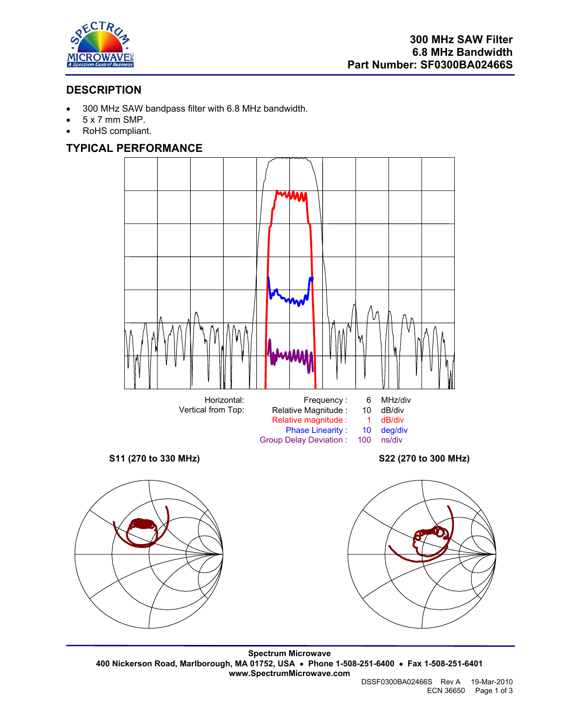

# **DESCRIPTION**

- 300 MHz SAW bandpass filter with 6.8 MHz bandwidth.
- 5 x 7 mm SMP.
- RoHS compliant.

## **TYPICAL PERFORMANCE**



**Spectrum Microwave 400 Nickerson Road, Marlborough, MA 01752, USA** • **Phone 1-508-251-6400** • **Fax 1-508-251-6401 www.SpectrumMicrowave.com**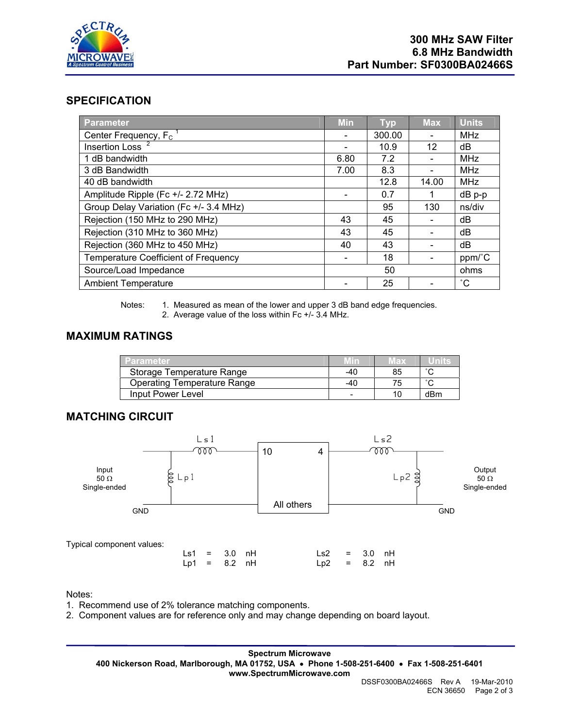

#### **SPECIFICATION**

| Parameter                                   | <b>Min</b> | <b>Typ</b> | <b>Max</b> | <b>Units</b> |
|---------------------------------------------|------------|------------|------------|--------------|
| Center Frequency, $F_c$                     |            | 300.00     |            | <b>MHz</b>   |
| Insertion Loss <sup>2</sup>                 |            | 10.9       | 12         | dB           |
| 1 dB bandwidth                              | 6.80       | 7.2        |            | MHz          |
| 3 dB Bandwidth                              | 7.00       | 8.3        |            | MHz          |
| 40 dB bandwidth                             |            | 12.8       | 14.00      | MHz          |
| Amplitude Ripple (Fc +/- 2.72 MHz)          |            | 0.7        |            | dB p-p       |
| Group Delay Variation (Fc +/- 3.4 MHz)      |            | 95         | 130        | ns/div       |
| Rejection (150 MHz to 290 MHz)              | 43         | 45         |            | dB           |
| Rejection (310 MHz to 360 MHz)              | 43         | 45         |            | dB           |
| Rejection (360 MHz to 450 MHz)              | 40         | 43         |            | dB           |
| <b>Temperature Coefficient of Frequency</b> |            | 18         |            | ppm/°C       |
| Source/Load Impedance                       |            | 50         |            | ohms         |
| <b>Ambient Temperature</b>                  |            | 25         |            | $^{\circ}$ C |

Notes: 1. Measured as mean of the lower and upper 3 dB band edge frequencies. 2. Average value of the loss within Fc +/- 3.4 MHz.

#### **MAXIMUM RATINGS**

| <b>Parameter</b>            | Min | vlax |     |
|-----------------------------|-----|------|-----|
| Storage Temperature Range   | -40 | 85   |     |
| Operating Temperature Range | -40 |      |     |
| Input Power Level           |     |      | dBm |

## **MATCHING CIRCUIT**



Notes:

1. Recommend use of 2% tolerance matching components.

2. Component values are for reference only and may change depending on board layout.

**Spectrum Microwave 400 Nickerson Road, Marlborough, MA 01752, USA** • **Phone 1-508-251-6400** • **Fax 1-508-251-6401 www.SpectrumMicrowave.com**